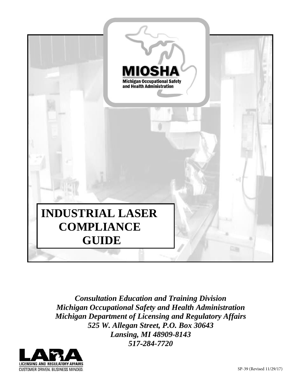

*Consultation Education and Training Division Michigan Occupational Safety and Health Administration Michigan Department of Licensing and Regulatory Affairs 525 W. Allegan Street, P.O. Box 30643 Lansing, MI 48909-8143 517-284-7720*

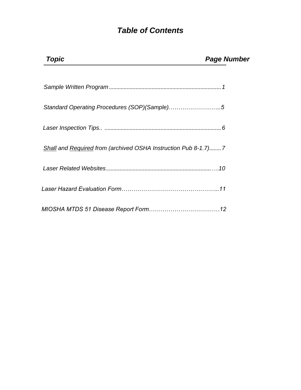# *Table of Contents*

| Topic                                                           | <b>Page Number</b> |
|-----------------------------------------------------------------|--------------------|
|                                                                 |                    |
| Standard Operating Procedures (SOP)(Sample)5                    |                    |
|                                                                 |                    |
| Shall and Required from (archived OSHA Instruction Pub 8-1.7) 7 |                    |
|                                                                 |                    |
|                                                                 |                    |
|                                                                 |                    |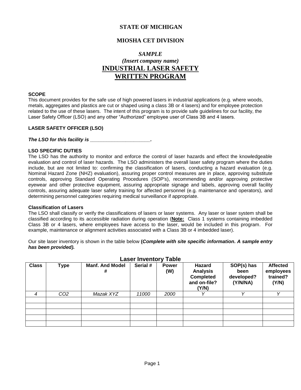## **STATE OF MICHIGAN**

### **MIOSHA CET DIVISION**

## *SAMPLE (Insert company name)* **INDUSTRIAL LASER SAFETY WRITTEN PROGRAM**

#### **SCOPE**

This document provides for the safe use of high powered lasers in industrial applications (e.g. where woods, metals, aggregates and plastics are cut or shaped using a class 3B or 4 lasers) and for employee protection related to the use of these lasers. The intent of this program is to provide safe guidelines for our facility, the Laser Safety Officer (LSO) and any other "Authorized" employee user of Class 3B and 4 lasers.

#### **LASER SAFETY OFFICER (LSO)**

*The LSO for this facility is \_\_\_\_\_\_\_\_\_\_\_\_\_\_\_\_\_\_\_\_\_\_.* 

#### **LSO SPECIFIC DUTIES**

The LSO has the authority to monitor and enforce the control of laser hazards and effect the knowledgeable evaluation and control of laser hazards. The LSO administers the overall laser safety program where the duties include, but are not limited to: confirming the classification of lasers, conducting a hazard evaluation (e.g. Nominal Hazard Zone (NHZ) evaluation), assuring proper control measures are in place, approving substitute controls, approving Standard Operating Procedures (SOP's), recommending and/or approving protective eyewear and other protective equipment, assuring appropriate signage and labels, approving overall facility controls, assuring adequate laser safety training for affected personnel (e.g. maintenance and operators), and determining personnel categories requiring medical surveillance if appropriate.

#### **Classification of Lasers**

The LSO shall classify or verify the classifications of lasers or laser systems. Any laser or laser system shall be classified according to its accessible radiation during operation (**Note:** Class 1 systems containing imbedded Class 3B or 4 lasers, where employees have access to the laser, would be included in this program. For example, maintenance or alignment activities associated with a Class 3B or 4 imbedded laser).

Our site laser inventory is shown in the table below **(***Complete with site specific information. A sample entry has been provided).*

| <b>Class</b> | <b>Type</b>     | <b>Manf. And Model</b><br># | Serial # | <b>Power</b><br>(W) | Hazard<br><b>Analysis</b><br><b>Completed</b><br>and on-file?<br>(Y/N) | SOP(s) has<br>been<br>developed?<br>(Y/N/NA) | <b>Affected</b><br>employees<br>trained?<br>(Y/N) |
|--------------|-----------------|-----------------------------|----------|---------------------|------------------------------------------------------------------------|----------------------------------------------|---------------------------------------------------|
| 4            | CO <sub>2</sub> | Mazak XYZ                   | 11000    | 2000                |                                                                        |                                              |                                                   |
|              |                 |                             |          |                     |                                                                        |                                              |                                                   |
|              |                 |                             |          |                     |                                                                        |                                              |                                                   |
|              |                 |                             |          |                     |                                                                        |                                              |                                                   |
|              |                 |                             |          |                     |                                                                        |                                              |                                                   |
|              |                 |                             |          |                     |                                                                        |                                              |                                                   |

### **Laser Inventory Table**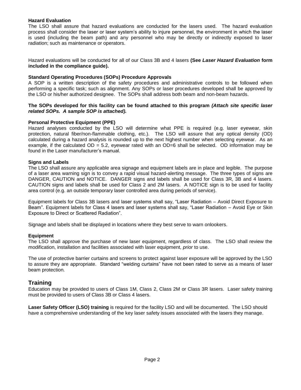#### **Hazard Evaluation**

The LSO shall assure that hazard evaluations are conducted for the lasers used. The hazard evaluation process shall consider the laser or laser system's ability to injure personnel, the environment in which the laser is used (including the beam path) and any personnel who may be directly or indirectly exposed to laser radiation; such as maintenance or operators.

Hazard evaluations will be conducted for all of our Class 3B and 4 lasers **(See** *Laser Hazard Evaluation* **form included in the compliance guide).**

#### **Standard Operating Procedures (SOPs) Procedure Approvals**

A SOP is a written description of the safety procedures and administrative controls to be followed when performing a specific task; such as alignment. Any SOPs or laser procedures developed shall be approved by the LSO or his/her authorized designee. The SOPs shall address both beam and non-beam hazards.

#### **The SOPs developed for this facility can be found attached to this program** *(Attach site specific laser related SOPs. A sample SOP is attached).*

#### **Personal Protective Equipment (PPE)**

Hazard analyses conducted by the LSO will determine what PPE is required (e.g. laser eyewear, skin protection, natural fiber/non-flammable clothing, etc.). The LSO will assure that any optical density (OD) calculated during a hazard analysis is rounded up to the next highest number when selecting eyewear. As an example, if the calculated  $OD = 5.2$ , eyewear rated with an  $OD=6$  shall be selected. OD information may be found in the Laser manufacturer's manual.

#### **Signs and Labels**

The LSO shall assure any applicable area signage and equipment labels are in place and legible. The purpose of a laser area warning sign is to convey a rapid visual hazard-alerting message. The three types of signs are DANGER, CAUTION and NOTICE. DANGER signs and labels shall be used for Class 3R, 3B and 4 lasers. CAUTION signs and labels shall be used for Class 2 and 2M lasers. A NOTICE sign is to be used for facility area control (e.g. an outside temporary laser controlled area during periods of service).

Equipment labels for Class 3B lasers and laser systems shall say, "Laser Radiation – Avoid Direct Exposure to Beam". Equipment labels for Class 4 lasers and laser systems shall say, "Laser Radiation – Avoid Eye or Skin Exposure to Direct or Scattered Radiation".

Signage and labels shall be displayed in locations where they best serve to warn onlookers.

#### **Equipment**

The LSO shall approve the purchase of new laser equipment, regardless of class. The LSO shall review the modification, installation and facilities associated with laser equipment, *prior* to use.

The use of protective barrier curtains and screens to protect against laser exposure will be approved by the LSO to assure they are appropriate. Standard "welding curtains" have not been rated to serve as a means of laser beam protection.

### **Training**

Education may be provided to users of Class 1M, Class 2, Class 2M or Class 3R lasers. Laser safety training must be provided to users of Class 3B or Class 4 lasers.

**Laser Safety Officer (LSO) training** is required for the facility LSO and will be documented. The LSO should have a comprehensive understanding of the key laser safety issues associated with the lasers they manage.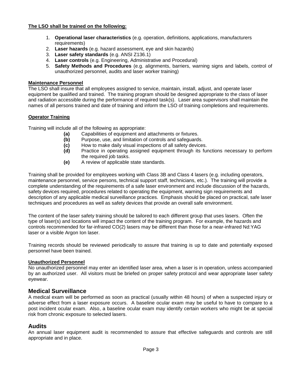#### **The LSO shall be trained on the following:**

- 1. **Operational laser characteristics** (e.g. operation, definitions, applications, manufacturers requirements)
- 2. **Laser hazards** (e.g. hazard assessment, eye and skin hazards)
- 3. **Laser safety standards** (e.g. ANSI Z136.1)
- 4. **Laser controls** (e.g. Engineering, Administrative and Procedural)
- 5. **Safety Methods and Procedures** (e.g. alignments, barriers, warning signs and labels, control of unauthorized personnel, audits and laser worker training)

#### **Maintenance Personnel**

The LSO shall insure that all employees assigned to service, maintain, install, adjust, and operate laser equipment be qualified and trained. The training program should be designed appropriate to the class of laser and radiation accessible during the performance of required task(s). Laser area supervisors shall maintain the names of all persons trained and date of training and inform the LSO of training completions and requirements.

#### **Operator Training**

Training will include all of the following as appropriate:

- **(a)** Capabilities of equipment and attachments or fixtures.
- **(b)** Purpose, use, and limitation of controls and safeguards.
- **(c)** How to make daily visual inspections of all safety devices.
- **(d)** Practice in operating assigned equipment through its functions necessary to perform the required job tasks.
- **(e)** A review of applicable state standards.

Training shall be provided for employees working with Class 3B and Class 4 lasers (e.g. including operators, maintenance personnel, service persons, technical support staff, technicians, etc.). The training will provide a complete understanding of the requirements of a safe laser environment and include discussion of the hazards, safety devices required, procedures related to operating the equipment, warning sign requirements and description of any applicable medical surveillance practices. Emphasis should be placed on practical, safe laser techniques and procedures as well as safety devices that provide an overall safe environment.

The content of the laser safety training should be tailored to each different group that uses lasers. Often the type of laser(s) and locations will impact the content of the training program. For example, the hazards and controls recommended for far-infrared CO(2) lasers may be different than those for a near-infrared Nd:YAG laser or a visible Argon Ion laser.

Training records should be reviewed periodically to assure that training is up to date and potentially exposed personnel have been trained.

#### **Unauthorized Personnel**

No unauthorized personnel may enter an identified laser area, when a laser is in operation, unless accompanied by an authorized user. All visitors must be briefed on proper safety protocol and wear appropriate laser safety eyewear.

#### **Medical Surveillance**

A medical exam will be performed as soon as practical (usually within 48 hours) of when a suspected injury or adverse effect from a laser exposure occurs. A baseline ocular exam may be useful to have to compare to a post incident ocular exam. Also, a baseline ocular exam may identify certain workers who might be at special risk from chronic exposure to selected lasers.

#### **Audits**

An annual laser equipment audit is recommended to assure that effective safeguards and controls are still appropriate and in place.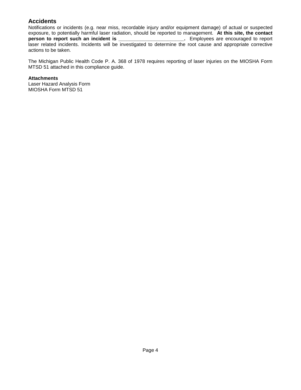## **Accidents**

Notifications or incidents (e.g. near miss, recordable injury and/or equipment damage) of actual or suspected exposure, to potentially harmful laser radiation, should be reported to management. **At this site, the contact person incident is extended incident incident incident issues** laser related incidents. Incidents will be investigated to determine the root cause and appropriate corrective actions to be taken.

The Michigan Public Health Code P. A. 368 of 1978 requires reporting of laser injuries on the MIOSHA Form MTSD 51 attached in this compliance guide.

**Attachments**

Laser Hazard Analysis Form MIOSHA Form MTSD 51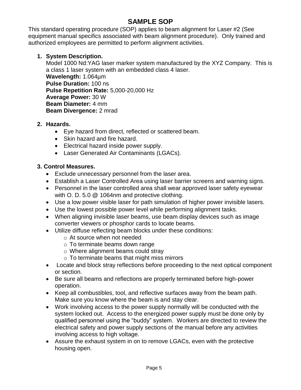# **SAMPLE SOP**

This standard operating procedure (SOP) applies to beam alignment for Laser #2 (See equipment manual specifics associated with beam alignment procedure). Only trained and authorized employees are permitted to perform alignment activities.

## **1. System Description.**

Model 1000 Nd:YAG laser marker system manufactured by the XYZ Company. This is a class 1 laser system with an embedded class 4 laser. **Wavelength:** 1.064µm **Pulse Duration:** 100 ns **Pulse Repetition Rate:** 5,000-20,000 Hz **Average Power:** 30 W **Beam Diameter:** 4 mm **Beam Divergence:** 2 mrad

## **2. Hazards.**

- Eye hazard from direct, reflected or scattered beam.
- Skin hazard and fire hazard.
- Electrical hazard inside power supply.
- Laser Generated Air Contaminants (LGACs).

## **3. Control Measures.**

- Exclude unnecessary personnel from the laser area.
- Establish a Laser Controlled Area using laser barrier screens and warning signs.
- Personnel in the laser controlled area shall wear approved laser safety eyewear with O. D. 5.0 @ 1064nm and protective clothing.
- Use a low power visible laser for path simulation of higher power invisible lasers.
- Use the lowest possible power level while performing alignment tasks.
- When aligning invisible laser beams, use beam display devices such as image converter viewers or phosphor cards to locate beams.
- Utilize diffuse reflecting beam blocks under these conditions:
	- o At source when not needed
	- $\circ$  To terminate beams down range
	- o Where alignment beams could stray
	- o To terminate beams that might miss mirrors
- Locate and block stray reflections before proceeding to the next optical component or section.
- Be sure all beams and reflections are properly terminated before high-power operation.
- Keep all combustibles, tool, and reflective surfaces away from the beam path. Make sure you know where the beam is and stay clear.
- Work involving access to the power supply normally will be conducted with the system locked out. Access to the energized power supply must be done only by qualified personnel using the "buddy" system. Workers are directed to review the electrical safety and power supply sections of the manual before any activities involving access to high voltage.
- Assure the exhaust system in on to remove LGACs, even with the protective housing open.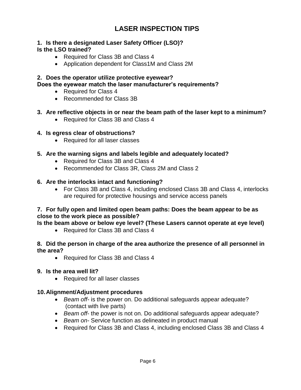# **LASER INSPECTION TIPS**

## **1. Is there a designated Laser Safety Officer (LSO)? Is the LSO trained?**

- Required for Class 3B and Class 4
- Application dependent for Class1M and Class 2M

# **2. Does the operator utilize protective eyewear?**

**Does the eyewear match the laser manufacturer's requirements?**

- Required for Class 4
- Recommended for Class 3B

## **3. Are reflective objects in or near the beam path of the laser kept to a minimum?**

• Required for Class 3B and Class 4

## **4. Is egress clear of obstructions?**

• Required for all laser classes

## **5. Are the warning signs and labels legible and adequately located?**

- Required for Class 3B and Class 4
- Recommended for Class 3R, Class 2M and Class 2

## **6. Are the interlocks intact and functioning?**

• For Class 3B and Class 4, including enclosed Class 3B and Class 4, interlocks are required for protective housings and service access panels

## **7. For fully open and limited open beam paths: Does the beam appear to be as close to the work piece as possible?**

**Is the beam above or below eye level? (These Lasers cannot operate at eye level)**

• Required for Class 3B and Class 4

## **8. Did the person in charge of the area authorize the presence of all personnel in the area?**

- Required for Class 3B and Class 4
- **9. Is the area well lit?** 
	- Required for all laser classes

## **10.Alignment/Adjustment procedures**

- *Beam off-* is the power on. Do additional safeguards appear adequate? (contact with live parts)
- *Beam off* the power is not on. Do additional safeguards appear adequate?
- *Beam on-* Service function as delineated in product manual
- Required for Class 3B and Class 4, including enclosed Class 3B and Class 4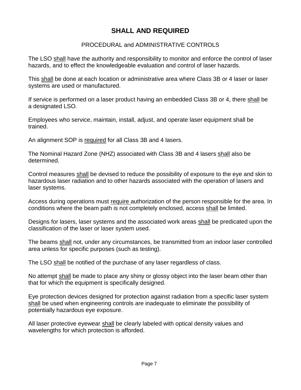# **SHALL AND REQUIRED**

## PROCEDURAL and ADMINISTRATIVE CONTROLS

The LSO shall have the authority and responsibility to monitor and enforce the control of laser hazards, and to effect the knowledgeable evaluation and control of laser hazards.

This shall be done at each location or administrative area where Class 3B or 4 laser or laser systems are used or manufactured.

If service is performed on a laser product having an embedded Class 3B or 4, there shall be a designated LSO.

Employees who service, maintain, install, adjust, and operate laser equipment shall be trained.

An alignment SOP is required for all Class 3B and 4 lasers.

The Nominal Hazard Zone (NHZ) associated with Class 3B and 4 lasers shall also be determined.

Control measures shall be devised to reduce the possibility of exposure to the eye and skin to hazardous laser radiation and to other hazards associated with the operation of lasers and laser systems.

Access during operations must require authorization of the person responsible for the area. In conditions where the beam path is not completely enclosed, access shall be limited.

Designs for lasers, laser systems and the associated work areas shall be predicated upon the classification of the laser or laser system used.

The beams shall not, under any circumstances, be transmitted from an indoor laser controlled area unless for specific purposes (such as testing).

The LSO shall be notified of the purchase of any laser regardless of class.

No attempt shall be made to place any shiny or glossy object into the laser beam other than that for which the equipment is specifically designed.

Eye protection devices designed for protection against radiation from a specific laser system shall be used when engineering controls are inadequate to eliminate the possibility of potentially hazardous eye exposure.

All laser protective eyewear shall be clearly labeled with optical density values and wavelengths for which protection is afforded.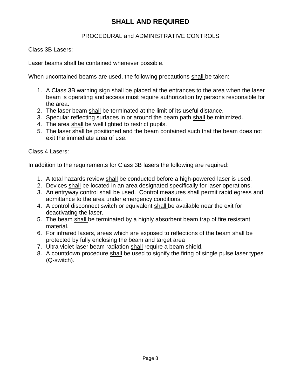# **SHALL AND REQUIRED**

## PROCEDURAL and ADMINISTRATIVE CONTROLS

Class 3B Lasers:

Laser beams shall be contained whenever possible.

When uncontained beams are used, the following precautions shall be taken:

- 1. A Class 3B warning sign shall be placed at the entrances to the area when the laser beam is operating and access must require authorization by persons responsible for the area.
- 2. The laser beam shall be terminated at the limit of its useful distance.
- 3. Specular reflecting surfaces in or around the beam path shall be minimized.
- 4. The area shall be well lighted to restrict pupils.
- 5. The laser shall be positioned and the beam contained such that the beam does not exit the immediate area of use.

Class 4 Lasers:

In addition to the requirements for Class 3B lasers the following are required:

- 1. A total hazards review shall be conducted before a high-powered laser is used.
- 2. Devices shall be located in an area designated specifically for laser operations.
- 3. An entryway control shall be used. Control measures shall permit rapid egress and admittance to the area under emergency conditions.
- 4. A control disconnect switch or equivalent shall be available near the exit for deactivating the laser.
- 5. The beam shall be terminated by a highly absorbent beam trap of fire resistant material.
- 6. For infrared lasers, areas which are exposed to reflections of the beam shall be protected by fully enclosing the beam and target area
- 7. Ultra violet laser beam radiation shall require a beam shield.
- 8. A countdown procedure shall be used to signify the firing of single pulse laser types (Q-switch).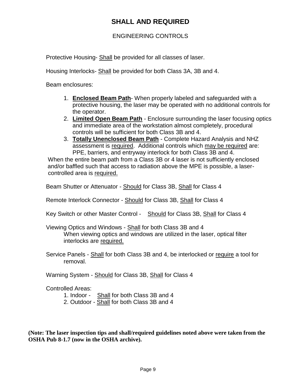# **SHALL AND REQUIRED**

## ENGINEERING CONTROLS

Protective Housing- Shall be provided for all classes of laser.

Housing Interlocks- Shall be provided for both Class 3A, 3B and 4.

Beam enclosures:

- 1. **Enclosed Beam Path** When properly labeled and safeguarded with a protective housing, the laser may be operated with no additional controls for the operator.
- 2. **Limited Open Beam Path** Enclosure surrounding the laser focusing optics and immediate area of the workstation almost completely, procedural controls will be sufficient for both Class 3B and 4.
- 3. **Totally Unenclosed Beam Path** Complete Hazard Analysis and NHZ assessment is required. Additional controls which may be required are: PPE, barriers, and entryway interlock for both Class 3B and 4.

 When the entire beam path from a Class 3B or 4 laser is not sufficiently enclosed and/or baffled such that access to radiation above the MPE is possible, a laser controlled area is required.

Beam Shutter or Attenuator - Should for Class 3B, Shall for Class 4

Remote Interlock Connector - Should for Class 3B, Shall for Class 4

Key Switch or other Master Control - Should for Class 3B, Shall for Class 4

Viewing Optics and Windows - Shall for both Class 3B and 4 When viewing optics and windows are utilized in the laser, optical filter interlocks are required.

Service Panels - Shall for both Class 3B and 4, be interlocked or require a tool for removal.

Warning System - Should for Class 3B, Shall for Class 4

Controlled Areas:

1. Indoor - Shall for both Class 3B and 4

2. Outdoor - Shall for both Class 3B and 4

**(Note: The laser inspection tips and shall/required guidelines noted above were taken from the OSHA Pub 8-1.7 (now in the OSHA archive).**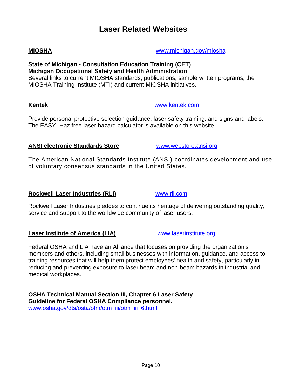# **Laser Related Websites**

#### **State of Michigan - Consultation Education Training (CET) Michigan Occupational Safety and Health Administration** Several links to current MIOSHA standards, publications, sample written programs, the MIOSHA Training Institute (MTI) and current MIOSHA initiatives.

Provide personal protective selection guidance, laser safety training, and signs and labels. The EASY- Haz free laser hazard calculator is available on this website.

## **ANSI electronic Standards Store** [www.webstore.ansi.org](http://www.webstore.ansi.org/)

The American National Standards Institute (ANSI) coordinates development and use of voluntary consensus standards in the United States.

## **Rockwell Laser Industries (RLI)** [www.rli.com](http://www.rli.com/)

Rockwell Laser Industries pledges to continue its heritage of delivering outstanding quality, service and support to the worldwide community of laser users.

## **Laser Institute of America (LIA)** [www.laserinstitute.org](http://www.laserinstitute.org/)

Federal OSHA and LIA have an Alliance that focuses on providing the organization's members and others, including small businesses with information, guidance, and access to training resources that will help them protect employees' health and safety, particularly in reducing and preventing exposure to laser beam and non-beam hazards in industrial and medical workplaces.

**OSHA Technical Manual Section III, Chapter 6 Laser Safety Guideline for Federal OSHA Compliance personnel.** [www.osha.gov/dts/osta/otm/otm\\_iii/otm\\_iii\\_6.html](http://www.osha.gov/dts/osta/otm/otm_iii/otm_iii_6.html)

**MIOSHA** [www.michigan.gov/miosha](http://www.michigan.gov/miosha)

**Kentek** [www.kentek.com](http://www.kentek.com/)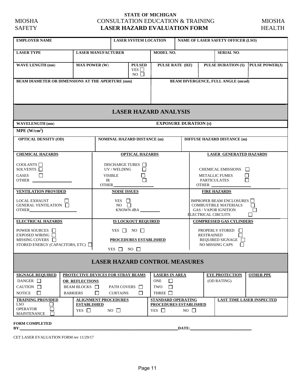### **STATE OF MICHIGAN**  MIOSHA CONSULTATION EDUCATION & TRAINING MIOSHA **LASER HAZARD EVALUATION FORM HEALTH**

| <b>EMPLOYER NAME</b>                                                                                                                                                                                                                                                                                                                                                                                                                                                                                                                                 |                           |                            |                                                                           | <b>LASER SYSTEM LOCATION</b><br><b>NAME OF LASER SAFETY OFFICER (LSO)</b> |                                 |                                |  |  |
|------------------------------------------------------------------------------------------------------------------------------------------------------------------------------------------------------------------------------------------------------------------------------------------------------------------------------------------------------------------------------------------------------------------------------------------------------------------------------------------------------------------------------------------------------|---------------------------|----------------------------|---------------------------------------------------------------------------|---------------------------------------------------------------------------|---------------------------------|--------------------------------|--|--|
| <b>LASER TYPE</b>                                                                                                                                                                                                                                                                                                                                                                                                                                                                                                                                    | <b>LASER MANUFACTURER</b> |                            |                                                                           | <b>MODEL NO.</b><br><b>SERIAL NO.</b>                                     |                                 |                                |  |  |
| <b>WAVE LENGTH (nm)</b>                                                                                                                                                                                                                                                                                                                                                                                                                                                                                                                              | <b>MAX POWER (W)</b>      |                            | <b>PULSED</b><br>YES $\Box$<br>$NO$ $\Box$                                | PULSE DURATION (S)   PULSE POWER(J)<br><b>PULSE RATE (HZ)</b>             |                                 |                                |  |  |
| <b>BEAM DIAMETER OR DIMENSIONS AT THE APERTURE (mm)</b><br><b>BEAM DIVERGENCE, FULL ANGLE (mrad)</b>                                                                                                                                                                                                                                                                                                                                                                                                                                                 |                           |                            |                                                                           |                                                                           |                                 |                                |  |  |
|                                                                                                                                                                                                                                                                                                                                                                                                                                                                                                                                                      |                           |                            |                                                                           | <b>LASER HAZARD ANALYSIS</b>                                              |                                 |                                |  |  |
| <b>WAVELENGTH</b> (nm)                                                                                                                                                                                                                                                                                                                                                                                                                                                                                                                               |                           |                            |                                                                           |                                                                           | <b>EXPOSURE DURATION (s)</b>    |                                |  |  |
| $MPE$ (W/cm <sup>2</sup> )                                                                                                                                                                                                                                                                                                                                                                                                                                                                                                                           |                           |                            |                                                                           |                                                                           |                                 |                                |  |  |
| <b>OPTICAL DENSITY (OD)</b><br><b>NOMINAL HAZARD DISTANCE (m)</b><br><b>DIFFUSE HAZARD DISTANCE (m)</b>                                                                                                                                                                                                                                                                                                                                                                                                                                              |                           |                            |                                                                           |                                                                           |                                 |                                |  |  |
| <b>CHEMICAL HAZARDS</b>                                                                                                                                                                                                                                                                                                                                                                                                                                                                                                                              |                           | <b>OPTICAL HAZARDS</b>     |                                                                           |                                                                           |                                 | <b>LASER GENERATED HAZARDS</b> |  |  |
| COOLANTS<br>DISCHARGE TUBES $\Box$<br>SOLVENTS <sup>1</sup><br>UV / WELDING<br>l 1<br>CHEMICAL EMISSIONS<br><b>GASES</b><br><b>VISIBLE</b><br><b>METALLIC FUMES</b><br>IR<br>OTHER<br><b>PARTICULATES</b><br><b>OTHER</b><br>OTHER                                                                                                                                                                                                                                                                                                                   |                           |                            |                                                                           |                                                                           |                                 |                                |  |  |
| <b>VENTILATION PROVIDED</b>                                                                                                                                                                                                                                                                                                                                                                                                                                                                                                                          |                           |                            | <b>NOISE ISSUES</b><br><b>FIRE HAZARDS</b>                                |                                                                           |                                 |                                |  |  |
| <b>LOCAL EXHAUST</b><br>YES $\Box$<br>IMPROPER BEAM ENCLOSURES $\Box$<br>GENERAL VENTILATION<br><b>COMBUSTIBLE MATERIALS</b><br>$NO$ $\Box$<br>KNOWN dBA<br><b>GAS / VAPOR IGNITION</b><br><b>ELECTRICAL CIRCUITS</b>                                                                                                                                                                                                                                                                                                                                |                           |                            |                                                                           | $\Box$                                                                    |                                 |                                |  |  |
| <b>ELECTRICAL HAZARDS</b>                                                                                                                                                                                                                                                                                                                                                                                                                                                                                                                            |                           | <b>IS LOCKOUT REQUIRED</b> |                                                                           |                                                                           | <b>COMPRESSED GAS CYLINDERS</b> |                                |  |  |
| YES $\Box$ NO $\Box$<br>POWER SOURCES I<br>EXPOSED WIRING $\Box$<br><b>RESTRAINED</b><br>MISSING COVERS $\Box$<br><b>PROCEDURES ESTABLISHED</b><br>STORED ENERGY (CAPACITORS, ETC)<br>YES NO                                                                                                                                                                                                                                                                                                                                                         |                           |                            | <b>PROPERLY STORED</b><br>П<br>REQUIRED SIGNAGE<br><b>NO MISSING CAPS</b> |                                                                           |                                 |                                |  |  |
| <b>LASER HAZARD CONTROL MEASURES</b>                                                                                                                                                                                                                                                                                                                                                                                                                                                                                                                 |                           |                            |                                                                           |                                                                           |                                 |                                |  |  |
| <b>SIGNAGE REQUIRED</b><br>PROTECTIVE DEVICES FOR STRAY BEAMS<br><b>EYE PROTECTION</b><br><b>LASERS IN AREA</b><br>$\Box$<br>DANGER $\Box$<br><b>ONE</b><br>(OD RATING)<br>OR REFLECTIONS<br>$\Box$<br>CAUTION $\Box$<br>BEAM BLOCKS <b>D</b><br>PATH COVERS $\Box$<br>TWO<br>П<br>П<br>$\Box$<br><b>BARRIERS</b><br>THREE <b>T</b><br>NOTICE<br><b>CURTAINS</b><br><b>STANDARD OPERATING</b><br><b>TRAINING PROVIDED</b><br><b>ALIGNMENT PROCEDURES</b><br><b>LAST TIME LASER INSPECTED</b><br>LSO.<br><b>ESTABLISHED</b><br>PROCEDURES ESTABLISHED |                           |                            |                                                                           | <b>OTHER PPE</b>                                                          |                                 |                                |  |  |
| <b>OPERATOR</b><br>YES $\Box$<br>$NO \square$<br>$YES \Box$<br>$NO \square$<br>MAINTENANCE                                                                                                                                                                                                                                                                                                                                                                                                                                                           |                           |                            |                                                                           |                                                                           |                                 |                                |  |  |
| <b>FORM COMPLETED</b><br>BY:                                                                                                                                                                                                                                                                                                                                                                                                                                                                                                                         |                           |                            |                                                                           |                                                                           | DATE:                           |                                |  |  |

**BATE:** 

CET LASER EVALUATION FORM rev 11/29/17